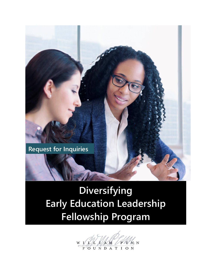

# **Diversifying Early Education Leadership Fellowship Program**

**XM** N N OUNDATION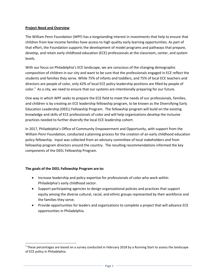## **Project Need and Overview**

The William Penn Foundation (WPF) has a longstanding interest in investments that help to ensure that children from low income families have access to high quality early learning opportunities. As part of that effort, the Foundation supports the development of model programs and pathways that prepare, develop, and retain early childhood education (ECE) professionals at the classroom, center, and system levels.

With our focus on Philadelphia's ECE landscape, we are conscious of the changing demographic composition of children in our city and want to be sure that the professionals engaged in ECE reflect the students and families they serve. While 75% of infants and toddlers, and 75% of local ECE teachers and directors are people of color, only 42% of local ECE policy leadership positions are filled by people of color.<sup>1</sup> As a city, we need to ensure that our systems are intentionally preparing for our future.

One way in which WPF seeks to prepare the ECE field to meet the needs of our professionals, families, and children is by creating an ECE leadership fellowship program, to be known as the Diversifying Early Education Leadership (DEEL) Fellowship Program. The fellowship program will build on the existing knowledge and skills of ECE professionals of color and will help organizations develop the inclusive practices needed to further diversify the local ECE leadership cohort.

In 2017, Philadelphia's Office of Community Empowerment and Opportunity, with support from the William Penn Foundation, conducted a planning process for the creation of an early childhood education policy fellowship. Input was collected from an advisory committee of local stakeholders and from fellowship program directors around the country. The resulting recommendations informed the key components of the DEEL Fellowship Program.

# **The goals of the DEEL Fellowship Program are to:**

l

- Increase leadership and policy expertise for professionals of color who work within Philadelphia's early childhood sector.
- Support participating agencies to design organizational policies and practices that support equity among the diverse cultural, racial, and ethnic groups represented by their workforce and the families they serve.
- Provide opportunities for leaders and organizations to complete a project that will advance ECE opportunities in Philadelphia.

<sup>&</sup>lt;sup>1</sup> These percentages are based on a survey conducted in February 2018 by a Running Start to assess the landscape of ECE policy in Philadelphia.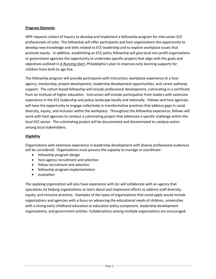## **Program Elements**

WPF requests Letters of Inquiry to develop and implement a fellowship program for mid-career ECE professionals of color. The fellowship will offer participants and host organizations the opportunity to develop new knowledge and skills related to ECE leadership and to explore workplace issues that promote equity. In addition, establishing an ECE policy fellowship will give local non-profit organizations or government agencies the opportunity to undertake specific projects that align with the goals and objectives outlined in *[A Running Start](http://sharedprosperityphila.org/documents/RunningStart_MainReportSinglePages.pdf)*, Philadelphia's plan to improve early learning supports for children from birth to age five.

The fellowship program will provide participants with instruction, workplace experience at a host agency, mentorship, project development, leadership development opportunities, and career pathway support. The cohort-based fellowship will include professional development, culminating in a certificate from an institute of higher education. Instruction will include participation from leaders with extensive experience in the ECE leadership and policy landscape locally and nationally. Fellows and host agencies will have the opportunity to engage collectively in transformative practices that address gaps in racial diversity, equity, and inclusion within the workplace. Throughout the fellowship experience, fellows will work with host agencies to conduct a culminating project that addresses a specific challenge within the local ECE sector. The culminating project will be documented and disseminated to catalyze action among local stakeholders.

## **Eligibility**

Organizations with extensive experience in leadership development with diverse professional audiences will be considered. Organizations must possess the capacity to manage or coordinate:

- fellowship program design
- host agency recruitment and selection
- fellow recruitment and selection
- fellowship program implementation
- evaluation

The applying organization will also have experience with (or will collaborate with an agency that specializes in) helping organizations to learn about and implement efforts to address staff diversity, equity, and inclusive practices. Examples of the types of organizations that could apply would include organizations and agencies with a focus on advancing the educational needs of children, universities with a strong early childhood education or education policy component, leadership development organizations, and government entities. Collaborations among multiple organizations are encouraged.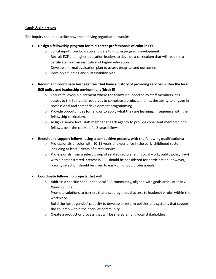## **Goals & Objectives**

The inquiry should describe how the applying organization would:

- **Design a fellowship program for mid-career professionals of color in ECE**
	- o Solicit input from local stakeholders to inform program development.
	- $\circ$  Recruit ECE and higher education leaders to develop a curriculum that will result in a certificate from an institution of higher education.
	- o Develop a formal evaluation plan to assess progress and outcomes.
	- o Develop a funding and sustainability plan.
- **Recruit and coordinate host agencies that have a history of providing services within the local ECE policy and leadership environment (birth-5)**
	- $\circ$  Ensure fellowship placement where the fellow is supported by staff members, has access to the tools and resources to complete a project, and has the ability to engage in professional and career development programming.
	- $\circ$  Provide opportunities for fellows to apply what they are learning, in sequence with the fellowship curriculum.
	- $\circ$  Assign a senior level staff member at each agency to provide consistent mentorship to fellows, over the course of a 2-year fellowship.
- **Recruit and support fellows, using a competitive process, with the following qualifications:**
	- $\circ$  Professionals of color with 10-15 years of experience in the early childhood sector including at least 5 years of direct service.
	- $\circ$  Professionals from a select group of related sectors (e.g., social work, public policy, law) with a demonstrated interest in ECE should be considered for participation; however, priority selection should be given to early childhood professionals.

# **Coordinate fellowship projects that will:**

- o Address a specific need in the local ECE community, aligned with goals articulated in *A Running Start.*
- o Promote solutions to barriers that discourage equal access to leadership roles within the workplace.
- $\circ$  Build the host agencies' capacity to develop or reform policies and systems that support the children within their service community.
- o Create a product or process that will be shared among local stakeholders.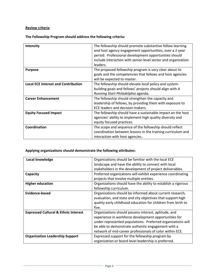# **Review criteria**

**The Fellowship Program should address the following criteria:**

| Intensity                                  | The fellowship should promote substantive fellow learning     |
|--------------------------------------------|---------------------------------------------------------------|
|                                            | and host agency engagement opportunities, over a 2-year       |
|                                            | period. Professional development opportunities should         |
|                                            | include interaction with senior-level sector and organization |
|                                            | leaders.                                                      |
| <b>Purpose</b>                             | The proposed fellowship program is very clear about its       |
|                                            | goals and the competencies that fellows and host agencies     |
|                                            | will be expected to master.                                   |
| <b>Local ECE Interest and Contribution</b> | The fellowship should elevate local policy and system-        |
|                                            | building goals and fellows' projects should align with A      |
|                                            | Running Start Philadelphia agenda.                            |
| <b>Career Enhancement</b>                  | The fellowship should strengthen the capacity and             |
|                                            | leadership of fellows, by providing them with exposure to     |
|                                            | ECE leaders and decision-makers.                              |
| <b>Equity Focused Impact</b>               | The fellowship should have a sustainable impact on the host   |
|                                            | agencies' ability to implement high quality diversity and     |
|                                            | equity focused practices.                                     |
| Coordination                               | The scope and sequence of the fellowship should reflect       |
|                                            | coordination between lessons in the training curriculum and   |
|                                            | interaction with host agencies.                               |
|                                            |                                                               |

# **Applying organizations should demonstrate the following attributes:**

| Local knowledge                                 | Organizations should be familiar with the local ECE           |
|-------------------------------------------------|---------------------------------------------------------------|
|                                                 | landscape and have the ability to connect with local          |
|                                                 | stakeholders in the development of project deliverables.      |
| Capacity                                        | Preferred organizations will exhibit experience coordinating  |
|                                                 | projects that involve multiple entities.                      |
| <b>Higher education</b>                         | Organizations should have the ability to establish a rigorous |
|                                                 | fellowship curriculum.                                        |
| Evidence-based                                  | Organizations should be informed about current research,      |
|                                                 | evaluation, and state and city objectives that support high   |
|                                                 | quality early childhood education for children from birth to  |
|                                                 | five.                                                         |
| <b>Expressed Cultural &amp; Ethnic Interest</b> | Organizations should possess interest, aptitude, and          |
|                                                 | experience in workforce development opportunities for         |
|                                                 | under-represented populations. Preferred organizations will   |
|                                                 | be able to demonstrate authentic engagement with a            |
|                                                 | network of mid-career professionals of color within ECE.      |
| <b>Organization Leadership Support</b>          | Expressed support for the fellowship program by               |
|                                                 | organization or board level leadership is preferred.          |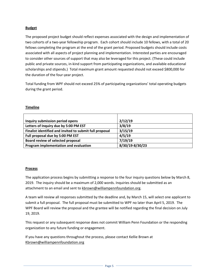# **Budget**

The proposed project budget should reflect expenses associated with the design and implementation of two cohorts of a two-year fellowship program. Each cohort should include 10 fellows, with a total of 20 fellows completing the program at the end of the grant period. Proposed budgets should include costs associated with all aspects of project planning and implementation. Interested parties are encouraged to consider other sources of support that may also be leveraged for this project. (These could include public and private sources, in-kind support from participating organizations, and available educational scholarships and stipends.) Total maximum grant amount requested should not exceed \$800,000 for the duration of the four-year project.

Total funding from WPF should not exceed 25% of participating organizations' total operating budgets during the grant period.

# **Timeline**

| Inquiry submission period opens                         | 2/12/19         |
|---------------------------------------------------------|-----------------|
| Letters of Inquiry due by 5:00 PM EST                   | 3/8/19          |
| Finalist identified and invited to submit full proposal | 3/15/19         |
| Full proposal due by 5:00 PM EST                        | 4/5/19          |
| Board review of selected proposal                       | 7/19/19         |
| Program implementation and evaluation                   | 8/30/19-8/30/23 |

# **Process**

The application process begins by submitting a response to the four inquiry questions below by March 8, 2019. The inquiry should be a maximum of 2,000 words. Inquiries should be submitted as an attachment to an email and sent to [kbrown@williampennfoundation.org.](mailto:kbrown@williampennfoundation.org)

A team will review all responses submitted by the deadline and, by March 15, will select one applicant to submit a full proposal. The full proposal must be submitted to WPF no later than April 5, 2019. The WPF Board will review the proposal and the grantee will be notified regarding the final decision on July 19, 2019.

This request or any subsequent response does not commit William Penn Foundation or the responding organization to any future funding or engagement.

If you have any questions throughout the process, please contact Kellie Brown at [Kbrown@williampennfoundation.org](mailto:Kbrown@williampennfoundation.org)